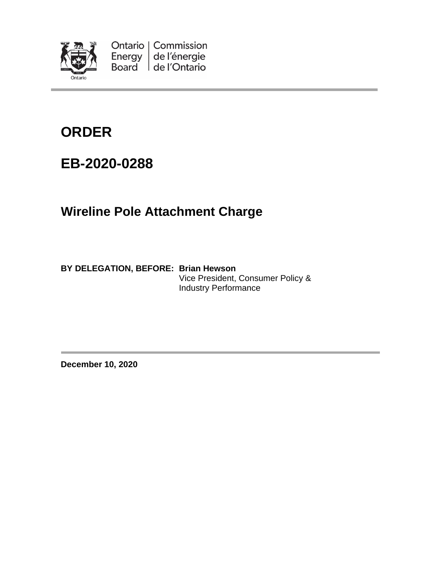

Ontario | Commission Energy de l'énergie Board de l'Ontario

# **ORDER**

## **EB-2020-0288**

## **Wireline Pole Attachment Charge**

**BY DELEGATION, BEFORE: Brian Hewson** Vice President, Consumer Policy & Industry Performance

**December 10, 2020**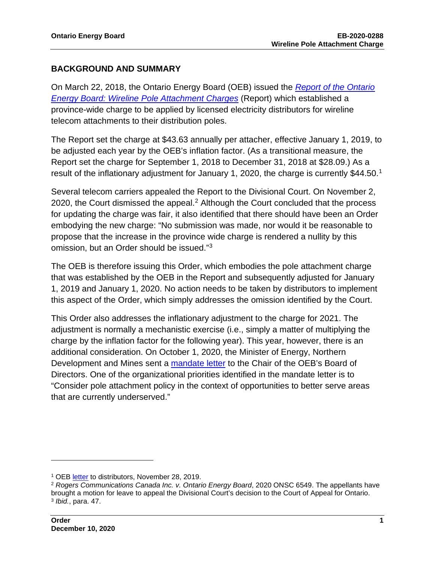#### **BACKGROUND AND SUMMARY**

On March 22, 2018, the Ontario Energy Board (OEB) issued the *[Report of the Ontario](https://www.oeb.ca/sites/default/files/report-pole-attachment-20180322.pdf)  [Energy Board: Wireline Pole Attachment Charges](https://www.oeb.ca/sites/default/files/report-pole-attachment-20180322.pdf)* (Report) which established a province-wide charge to be applied by licensed electricity distributors for wireline telecom attachments to their distribution poles.

The Report set the charge at \$43.63 annually per attacher, effective January 1, 2019, to be adjusted each year by the OEB's inflation factor. (As a transitional measure, the Report set the charge for September 1, 2018 to December 31, 2018 at \$28.09.) As a result of the inflationary adjustment for January 1, 2020, the charge is currently \$44.50.[1](#page-1-0)

Several telecom carriers appealed the Report to the Divisional Court. On November 2, [2](#page-1-1)020, the Court dismissed the appeal.<sup>2</sup> Although the Court concluded that the process for updating the charge was fair, it also identified that there should have been an Order embodying the new charge: "No submission was made, nor would it be reasonable to propose that the increase in the province wide charge is rendered a nullity by this omission, but an Order should be issued."[3](#page-1-2)

The OEB is therefore issuing this Order, which embodies the pole attachment charge that was established by the OEB in the Report and subsequently adjusted for January 1, 2019 and January 1, 2020. No action needs to be taken by distributors to implement this aspect of the Order, which simply addresses the omission identified by the Court.

This Order also addresses the inflationary adjustment to the charge for 2021. The adjustment is normally a mechanistic exercise (i.e., simply a matter of multiplying the charge by the inflation factor for the following year). This year, however, there is an additional consideration. On October 1, 2020, the Minister of Energy, Northern Development and Mines sent a [mandate letter](https://www.oeb.ca/sites/default/files/mandate-letter-minister-to-oeb-chair-20201001.pdf) to the Chair of the OEB's Board of Directors. One of the organizational priorities identified in the mandate letter is to "Consider pole attachment policy in the context of opportunities to better serve areas that are currently underserved."

<span id="page-1-0"></span><sup>1</sup> OEB [letter](http://www.rds.oeb.ca/HPECMWebDrawer/Record/660512/File/document) to distributors, November 28, 2019.

<span id="page-1-2"></span><span id="page-1-1"></span><sup>2</sup> *Rogers Communications Canada Inc. v. Ontario Energy Board*, 2020 ONSC 6549. The appellants have brought a motion for leave to appeal the Divisional Court's decision to the Court of Appeal for Ontario. <sup>3</sup> *Ibid.*, para. 47.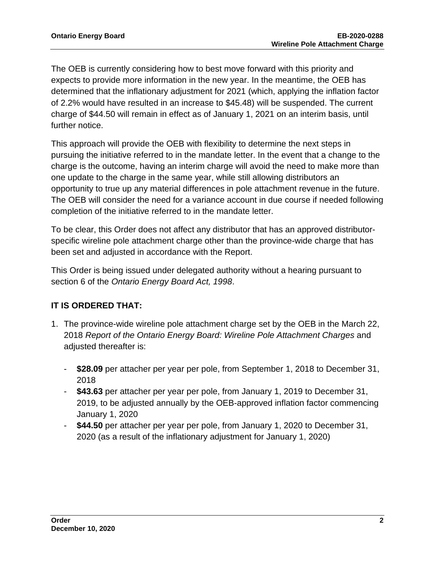The OEB is currently considering how to best move forward with this priority and expects to provide more information in the new year. In the meantime, the OEB has determined that the inflationary adjustment for 2021 (which, applying the inflation factor of 2.2% would have resulted in an increase to \$45.48) will be suspended. The current charge of \$44.50 will remain in effect as of January 1, 2021 on an interim basis, until further notice.

This approach will provide the OEB with flexibility to determine the next steps in pursuing the initiative referred to in the mandate letter. In the event that a change to the charge is the outcome, having an interim charge will avoid the need to make more than one update to the charge in the same year, while still allowing distributors an opportunity to true up any material differences in pole attachment revenue in the future. The OEB will consider the need for a variance account in due course if needed following completion of the initiative referred to in the mandate letter.

To be clear, this Order does not affect any distributor that has an approved distributorspecific wireline pole attachment charge other than the province-wide charge that has been set and adjusted in accordance with the Report.

This Order is being issued under delegated authority without a hearing pursuant to section 6 of the *Ontario Energy Board Act, 1998*.

### **IT IS ORDERED THAT:**

- 1. The province-wide wireline pole attachment charge set by the OEB in the March 22, 2018 *Report of the Ontario Energy Board: Wireline Pole Attachment Charges* and adjusted thereafter is:
	- **\$28.09** per attacher per year per pole, from September 1, 2018 to December 31, 2018
	- **\$43.63** per attacher per year per pole, from January 1, 2019 to December 31, 2019, to be adjusted annually by the OEB-approved inflation factor commencing January 1, 2020
	- **\$44.50** per attacher per year per pole, from January 1, 2020 to December 31, 2020 (as a result of the inflationary adjustment for January 1, 2020)